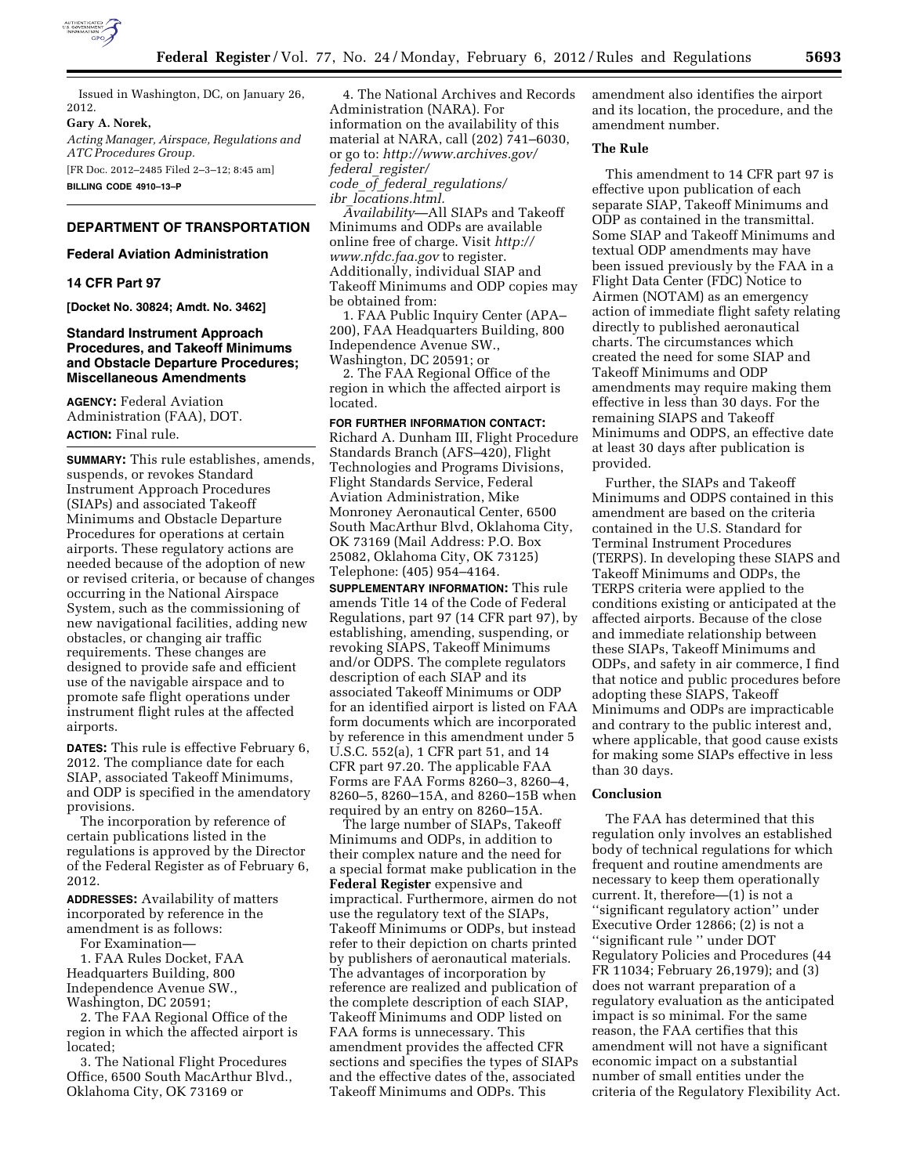

Issued in Washington, DC, on January 26, 2012.

#### **Gary A. Norek,**

*Acting Manager, Airspace, Regulations and ATC Procedures Group.*  [FR Doc. 2012–2485 Filed 2–3–12; 8:45 am]

**BILLING CODE 4910–13–P** 

## **DEPARTMENT OF TRANSPORTATION**

### **Federal Aviation Administration**

### **14 CFR Part 97**

**[Docket No. 30824; Amdt. No. 3462]** 

### **Standard Instrument Approach Procedures, and Takeoff Minimums and Obstacle Departure Procedures; Miscellaneous Amendments**

**AGENCY:** Federal Aviation Administration (FAA), DOT. **ACTION:** Final rule.

**SUMMARY:** This rule establishes, amends, suspends, or revokes Standard Instrument Approach Procedures (SIAPs) and associated Takeoff Minimums and Obstacle Departure Procedures for operations at certain airports. These regulatory actions are needed because of the adoption of new or revised criteria, or because of changes occurring in the National Airspace System, such as the commissioning of new navigational facilities, adding new obstacles, or changing air traffic requirements. These changes are designed to provide safe and efficient use of the navigable airspace and to promote safe flight operations under instrument flight rules at the affected airports.

**DATES:** This rule is effective February 6, 2012. The compliance date for each SIAP, associated Takeoff Minimums, and ODP is specified in the amendatory provisions.

The incorporation by reference of certain publications listed in the regulations is approved by the Director of the Federal Register as of February 6, 2012.

**ADDRESSES:** Availability of matters incorporated by reference in the amendment is as follows:

For Examination—

1. FAA Rules Docket, FAA Headquarters Building, 800 Independence Avenue SW., Washington, DC 20591;

2. The FAA Regional Office of the region in which the affected airport is located;

3. The National Flight Procedures Office, 6500 South MacArthur Blvd., Oklahoma City, OK 73169 or

4. The National Archives and Records Administration (NARA). For information on the availability of this material at NARA, call (202) 741–6030, or go to: *[http://www.archives.gov/](http://www.archives.gov/federal_register/code_of_federal_regulations/ibr_locations.html)  federal*\_*register/ code*\_*of*\_*federal*\_*regulations/ ibr*\_*locations.html.* 

*Availability*—All SIAPs and Takeoff Minimums and ODPs are available online free of charge. Visit *[http://](http://www.nfdc.faa.gov)  [www.nfdc.faa.gov](http://www.nfdc.faa.gov)* to register. Additionally, individual SIAP and Takeoff Minimums and ODP copies may be obtained from:

1. FAA Public Inquiry Center (APA– 200), FAA Headquarters Building, 800 Independence Avenue SW., Washington, DC 20591; or

2. The FAA Regional Office of the region in which the affected airport is located.

# **FOR FURTHER INFORMATION CONTACT:**

Richard A. Dunham III, Flight Procedure Standards Branch (AFS–420), Flight Technologies and Programs Divisions, Flight Standards Service, Federal Aviation Administration, Mike Monroney Aeronautical Center, 6500 South MacArthur Blvd, Oklahoma City, OK 73169 (Mail Address: P.O. Box 25082, Oklahoma City, OK 73125) Telephone: (405) 954–4164.

**SUPPLEMENTARY INFORMATION:** This rule amends Title 14 of the Code of Federal Regulations, part 97 (14 CFR part 97), by establishing, amending, suspending, or revoking SIAPS, Takeoff Minimums and/or ODPS. The complete regulators description of each SIAP and its associated Takeoff Minimums or ODP for an identified airport is listed on FAA form documents which are incorporated by reference in this amendment under 5 U.S.C. 552(a), 1 CFR part 51, and 14 CFR part 97.20. The applicable FAA Forms are FAA Forms 8260–3, 8260–4, 8260–5, 8260–15A, and 8260–15B when required by an entry on 8260–15A.

The large number of SIAPs, Takeoff Minimums and ODPs, in addition to their complex nature and the need for a special format make publication in the **Federal Register** expensive and impractical. Furthermore, airmen do not use the regulatory text of the SIAPs, Takeoff Minimums or ODPs, but instead refer to their depiction on charts printed by publishers of aeronautical materials. The advantages of incorporation by reference are realized and publication of the complete description of each SIAP, Takeoff Minimums and ODP listed on FAA forms is unnecessary. This amendment provides the affected CFR sections and specifies the types of SIAPs and the effective dates of the, associated Takeoff Minimums and ODPs. This

amendment also identifies the airport and its location, the procedure, and the amendment number.

### **The Rule**

This amendment to 14 CFR part 97 is effective upon publication of each separate SIAP, Takeoff Minimums and ODP as contained in the transmittal. Some SIAP and Takeoff Minimums and textual ODP amendments may have been issued previously by the FAA in a Flight Data Center (FDC) Notice to Airmen (NOTAM) as an emergency action of immediate flight safety relating directly to published aeronautical charts. The circumstances which created the need for some SIAP and Takeoff Minimums and ODP amendments may require making them effective in less than 30 days. For the remaining SIAPS and Takeoff Minimums and ODPS, an effective date at least 30 days after publication is provided.

Further, the SIAPs and Takeoff Minimums and ODPS contained in this amendment are based on the criteria contained in the U.S. Standard for Terminal Instrument Procedures (TERPS). In developing these SIAPS and Takeoff Minimums and ODPs, the TERPS criteria were applied to the conditions existing or anticipated at the affected airports. Because of the close and immediate relationship between these SIAPs, Takeoff Minimums and ODPs, and safety in air commerce, I find that notice and public procedures before adopting these SIAPS, Takeoff Minimums and ODPs are impracticable and contrary to the public interest and, where applicable, that good cause exists for making some SIAPs effective in less than 30 days.

### **Conclusion**

The FAA has determined that this regulation only involves an established body of technical regulations for which frequent and routine amendments are necessary to keep them operationally current. It, therefore—(1) is not a ''significant regulatory action'' under Executive Order 12866; (2) is not a ''significant rule '' under DOT Regulatory Policies and Procedures (44 FR 11034; February 26,1979); and (3) does not warrant preparation of a regulatory evaluation as the anticipated impact is so minimal. For the same reason, the FAA certifies that this amendment will not have a significant economic impact on a substantial number of small entities under the criteria of the Regulatory Flexibility Act.